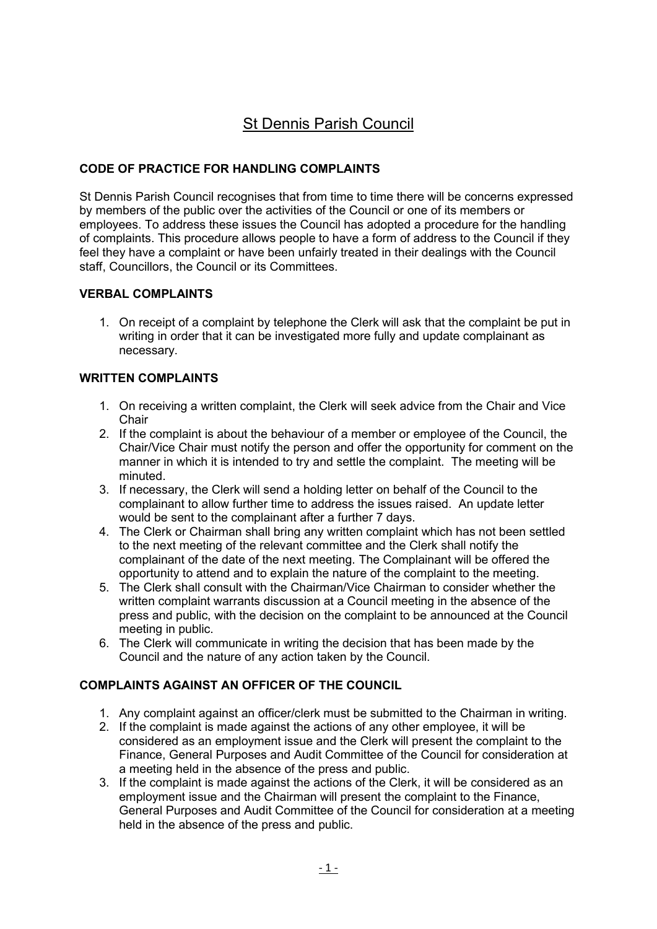# St Dennis Parish Council

## CODE OF PRACTICE FOR HANDLING COMPLAINTS

St Dennis Parish Council recognises that from time to time there will be concerns expressed by members of the public over the activities of the Council or one of its members or employees. To address these issues the Council has adopted a procedure for the handling of complaints. This procedure allows people to have a form of address to the Council if they feel they have a complaint or have been unfairly treated in their dealings with the Council staff, Councillors, the Council or its Committees.

#### VERBAL COMPLAINTS

1. On receipt of a complaint by telephone the Clerk will ask that the complaint be put in writing in order that it can be investigated more fully and update complainant as necessary.

#### WRITTEN COMPLAINTS

- 1. On receiving a written complaint, the Clerk will seek advice from the Chair and Vice **Chair**
- 2. If the complaint is about the behaviour of a member or employee of the Council, the Chair/Vice Chair must notify the person and offer the opportunity for comment on the manner in which it is intended to try and settle the complaint. The meeting will be minuted.
- 3. If necessary, the Clerk will send a holding letter on behalf of the Council to the complainant to allow further time to address the issues raised. An update letter would be sent to the complainant after a further 7 days.
- 4. The Clerk or Chairman shall bring any written complaint which has not been settled to the next meeting of the relevant committee and the Clerk shall notify the complainant of the date of the next meeting. The Complainant will be offered the opportunity to attend and to explain the nature of the complaint to the meeting.
- 5. The Clerk shall consult with the Chairman/Vice Chairman to consider whether the written complaint warrants discussion at a Council meeting in the absence of the press and public, with the decision on the complaint to be announced at the Council meeting in public.
- 6. The Clerk will communicate in writing the decision that has been made by the Council and the nature of any action taken by the Council.

## COMPLAINTS AGAINST AN OFFICER OF THE COUNCIL

- 1. Any complaint against an officer/clerk must be submitted to the Chairman in writing.
- 2. If the complaint is made against the actions of any other employee, it will be considered as an employment issue and the Clerk will present the complaint to the Finance, General Purposes and Audit Committee of the Council for consideration at a meeting held in the absence of the press and public.
- 3. If the complaint is made against the actions of the Clerk, it will be considered as an employment issue and the Chairman will present the complaint to the Finance, General Purposes and Audit Committee of the Council for consideration at a meeting held in the absence of the press and public.